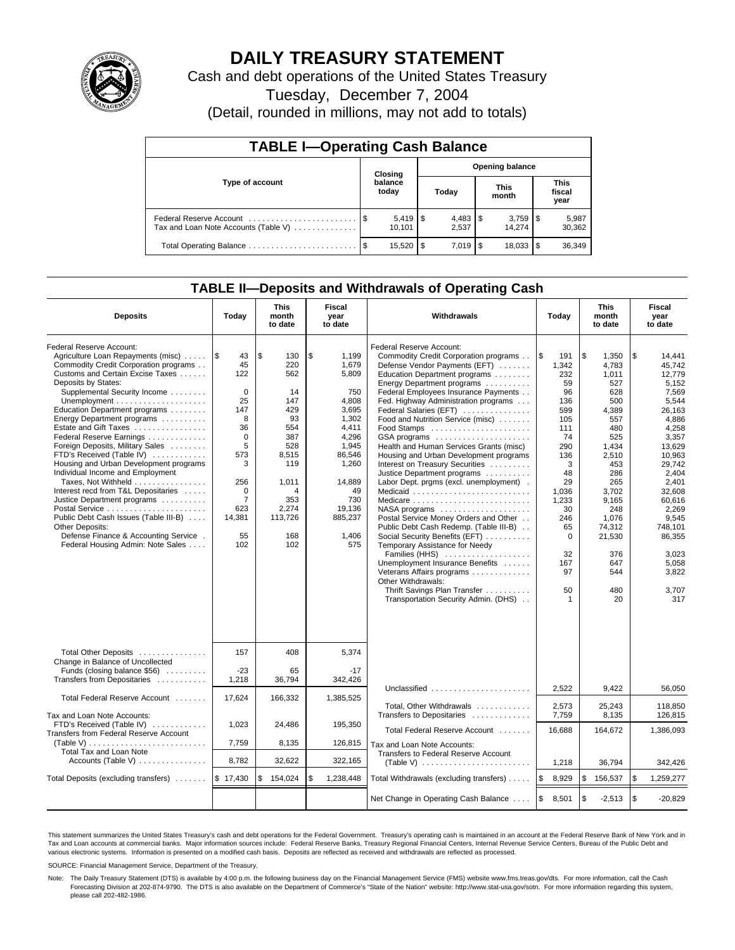

# **DAILY TREASURY STATEMENT**

Cash and debt operations of the United States Treasury

Tuesday, December 7, 2004

(Detail, rounded in millions, may not add to totals)

| <b>TABLE I-Operating Cash Balance</b> |         |                  |    |                        |  |                      |                               |                 |  |  |
|---------------------------------------|---------|------------------|----|------------------------|--|----------------------|-------------------------------|-----------------|--|--|
|                                       | Closing |                  |    | <b>Opening balance</b> |  |                      |                               |                 |  |  |
| Type of account                       |         | balance<br>today |    | Today                  |  | <b>This</b><br>month | <b>This</b><br>fiscal<br>year |                 |  |  |
| Tax and Loan Note Accounts (Table V)  |         | 10.101           |    | 2.537                  |  | 14.274               |                               | 5,987<br>30,362 |  |  |
|                                       | - \$    | 15,520           | \$ | $7.019$ S              |  | 18,033               | 1\$                           | 36,349          |  |  |

### **TABLE II—Deposits and Withdrawals of Operating Cash**

| <b>Deposits</b>                                                                                                                                                                                                                                                                                                                                                                                                                                                                                                                                                                                                                                                                                                                       | Today                                                                                                                                                               | <b>This</b><br>month<br>to date                                                                                                               | <b>Fiscal</b><br>year<br>to date                                                                                                                                          | Withdrawals                                                                                                                                                                                                                                                                                                                                                                                                                                                                                                                                                                                                                                                                                                                                                                                                                                                                                                        | Today                                                                                                                                                                                  | <b>This</b><br>month<br>to date                                                                                                                                                                                 | Fiscal<br>year<br>to date                                                                                                                                                                                                                              |
|---------------------------------------------------------------------------------------------------------------------------------------------------------------------------------------------------------------------------------------------------------------------------------------------------------------------------------------------------------------------------------------------------------------------------------------------------------------------------------------------------------------------------------------------------------------------------------------------------------------------------------------------------------------------------------------------------------------------------------------|---------------------------------------------------------------------------------------------------------------------------------------------------------------------|-----------------------------------------------------------------------------------------------------------------------------------------------|---------------------------------------------------------------------------------------------------------------------------------------------------------------------------|--------------------------------------------------------------------------------------------------------------------------------------------------------------------------------------------------------------------------------------------------------------------------------------------------------------------------------------------------------------------------------------------------------------------------------------------------------------------------------------------------------------------------------------------------------------------------------------------------------------------------------------------------------------------------------------------------------------------------------------------------------------------------------------------------------------------------------------------------------------------------------------------------------------------|----------------------------------------------------------------------------------------------------------------------------------------------------------------------------------------|-----------------------------------------------------------------------------------------------------------------------------------------------------------------------------------------------------------------|--------------------------------------------------------------------------------------------------------------------------------------------------------------------------------------------------------------------------------------------------------|
| Federal Reserve Account:<br>Agriculture Loan Repayments (misc)<br>Commodity Credit Corporation programs<br>Customs and Certain Excise Taxes<br>Deposits by States:<br>Supplemental Security Income<br>Education Department programs<br>Energy Department programs<br>Estate and Gift Taxes<br>Federal Reserve Earnings<br>Foreign Deposits, Military Sales<br>FTD's Received (Table IV)<br>Housing and Urban Development programs<br>Individual Income and Employment<br>Taxes, Not Withheld<br>Interest recd from T&L Depositaries<br>Justice Department programs<br>Postal Service<br>Public Debt Cash Issues (Table III-B)<br><b>Other Deposits:</b><br>Defense Finance & Accounting Service.<br>Federal Housing Admin: Note Sales | 1\$<br>43<br>45<br>122<br>$\mathbf 0$<br>25<br>147<br>8<br>36<br>$\mathbf 0$<br>5<br>573<br>3<br>256<br>$\mathbf 0$<br>$\overline{7}$<br>623<br>14,381<br>55<br>102 | \$<br>130<br>220<br>562<br>14<br>147<br>429<br>93<br>554<br>387<br>528<br>8,515<br>119<br>1,011<br>4<br>353<br>2,274<br>113,726<br>168<br>102 | \$<br>1,199<br>1,679<br>5,809<br>750<br>4.808<br>3,695<br>1,302<br>4,411<br>4,296<br>1,945<br>86,546<br>1,260<br>14,889<br>49<br>730<br>19,136<br>885,237<br>1,406<br>575 | Federal Reserve Account:<br>Commodity Credit Corporation programs<br>Defense Vendor Payments (EFT)<br>Education Department programs<br>Energy Department programs<br>Federal Employees Insurance Payments<br>Fed. Highway Administration programs<br>Federal Salaries (EFT)<br>Food and Nutrition Service (misc)<br>GSA programs<br>Health and Human Services Grants (misc)<br>Housing and Urban Development programs<br>Interest on Treasury Securities<br>Justice Department programs<br>Labor Dept. prgms (excl. unemployment).<br>Medicaid<br>Medicare<br>NASA programs<br>Postal Service Money Orders and Other<br>Public Debt Cash Redemp. (Table III-B)<br>Social Security Benefits (EFT)<br>Temporary Assistance for Needy<br>Families (HHS)<br>Unemployment Insurance Benefits<br>Veterans Affairs programs<br>Other Withdrawals:<br>Thrift Savings Plan Transfer<br>Transportation Security Admin. (DHS) | l\$<br>191<br>1,342<br>232<br>59<br>96<br>136<br>599<br>105<br>111<br>74<br>290<br>136<br>3<br>48<br>29<br>1,036<br>1,233<br>30<br>246<br>65<br>$\Omega$<br>32<br>167<br>97<br>50<br>1 | \$<br>1,350<br>4,783<br>1.011<br>527<br>628<br>500<br>4,389<br>557<br>480<br>525<br>1,434<br>2.510<br>453<br>286<br>265<br>3,702<br>9,165<br>248<br>1.076<br>74.312<br>21,530<br>376<br>647<br>544<br>480<br>20 | \$<br>14,441<br>45,742<br>12.779<br>5.152<br>7.569<br>5.544<br>26,163<br>4,886<br>4,258<br>3,357<br>13.629<br>10.963<br>29.742<br>2,404<br>2,401<br>32.608<br>60,616<br>2,269<br>9.545<br>748.101<br>86,355<br>3.023<br>5,058<br>3,822<br>3.707<br>317 |
| Total Other Deposits<br>Change in Balance of Uncollected<br>Funds (closing balance \$56)<br>Transfers from Depositaries                                                                                                                                                                                                                                                                                                                                                                                                                                                                                                                                                                                                               | 157<br>$-23$<br>1,218                                                                                                                                               | 408<br>65<br>36,794                                                                                                                           | 5,374<br>$-17$<br>342,426                                                                                                                                                 |                                                                                                                                                                                                                                                                                                                                                                                                                                                                                                                                                                                                                                                                                                                                                                                                                                                                                                                    |                                                                                                                                                                                        |                                                                                                                                                                                                                 |                                                                                                                                                                                                                                                        |
| Total Federal Reserve Account                                                                                                                                                                                                                                                                                                                                                                                                                                                                                                                                                                                                                                                                                                         | 17,624                                                                                                                                                              | 166,332                                                                                                                                       | 1,385,525                                                                                                                                                                 | Unclassified $\ldots$ , , , , , ,                                                                                                                                                                                                                                                                                                                                                                                                                                                                                                                                                                                                                                                                                                                                                                                                                                                                                  | 2,522                                                                                                                                                                                  | 9,422                                                                                                                                                                                                           | 56,050                                                                                                                                                                                                                                                 |
| Tax and Loan Note Accounts:                                                                                                                                                                                                                                                                                                                                                                                                                                                                                                                                                                                                                                                                                                           |                                                                                                                                                                     |                                                                                                                                               |                                                                                                                                                                           | Total, Other Withdrawals<br>Transfers to Depositaries                                                                                                                                                                                                                                                                                                                                                                                                                                                                                                                                                                                                                                                                                                                                                                                                                                                              | 2,573<br>7,759                                                                                                                                                                         | 25,243<br>8,135                                                                                                                                                                                                 | 118,850<br>126,815                                                                                                                                                                                                                                     |
| FTD's Received (Table IV)<br>Transfers from Federal Reserve Account                                                                                                                                                                                                                                                                                                                                                                                                                                                                                                                                                                                                                                                                   | 1,023                                                                                                                                                               | 24,486                                                                                                                                        | 195,350                                                                                                                                                                   | Total Federal Reserve Account                                                                                                                                                                                                                                                                                                                                                                                                                                                                                                                                                                                                                                                                                                                                                                                                                                                                                      | 16,688                                                                                                                                                                                 | 164,672                                                                                                                                                                                                         | 1,386,093                                                                                                                                                                                                                                              |
| $(Table V)$<br>Total Tax and Loan Note                                                                                                                                                                                                                                                                                                                                                                                                                                                                                                                                                                                                                                                                                                | 7,759                                                                                                                                                               | 8,135                                                                                                                                         | 126,815                                                                                                                                                                   | Tax and Loan Note Accounts:                                                                                                                                                                                                                                                                                                                                                                                                                                                                                                                                                                                                                                                                                                                                                                                                                                                                                        |                                                                                                                                                                                        |                                                                                                                                                                                                                 |                                                                                                                                                                                                                                                        |
| Accounts (Table V) $\dots \dots \dots \dots$                                                                                                                                                                                                                                                                                                                                                                                                                                                                                                                                                                                                                                                                                          | 8,782                                                                                                                                                               | 32,622                                                                                                                                        | 322,165                                                                                                                                                                   | Transfers to Federal Reserve Account                                                                                                                                                                                                                                                                                                                                                                                                                                                                                                                                                                                                                                                                                                                                                                                                                                                                               | 1,218                                                                                                                                                                                  | 36,794                                                                                                                                                                                                          | 342,426                                                                                                                                                                                                                                                |
| Total Deposits (excluding transfers)                                                                                                                                                                                                                                                                                                                                                                                                                                                                                                                                                                                                                                                                                                  | \$17,430                                                                                                                                                            | \$<br>154,024                                                                                                                                 | \$<br>1,238,448                                                                                                                                                           | Total Withdrawals (excluding transfers)                                                                                                                                                                                                                                                                                                                                                                                                                                                                                                                                                                                                                                                                                                                                                                                                                                                                            | 8,929<br>l \$                                                                                                                                                                          | \$<br>156,537                                                                                                                                                                                                   | \$<br>1,259,277                                                                                                                                                                                                                                        |
|                                                                                                                                                                                                                                                                                                                                                                                                                                                                                                                                                                                                                                                                                                                                       |                                                                                                                                                                     |                                                                                                                                               |                                                                                                                                                                           | Net Change in Operating Cash Balance                                                                                                                                                                                                                                                                                                                                                                                                                                                                                                                                                                                                                                                                                                                                                                                                                                                                               | l \$<br>8,501                                                                                                                                                                          | \$<br>$-2,513$                                                                                                                                                                                                  | \$<br>$-20,829$                                                                                                                                                                                                                                        |

This statement summarizes the United States Treasury's cash and debt operations for the Federal Government. Treasury's operating cash is maintained in an account at the Federal Reserve Bank of New York and in Tax and Loan accounts at commercial banks. Major information sources include: Federal Reserve Banks, Treasury Regional Financial Centers, Internal Revenue Service Centers, Bureau of the Public Debt and<br>various electronic s

SOURCE: Financial Management Service, Department of the Treasury.

Note: The Daily Treasury Statement (DTS) is available by 4:00 p.m. the following business day on the Financial Management Service (FMS) website www.fms.treas.gov/dts. For more information, call the Cash Forecasting Division at 202-874-9790. The DTS is also available on the Department of Commerce's "State of the Nation" website: http://www.stat-usa.gov/sotn. For more information regarding this system, please call 202-482-1986.